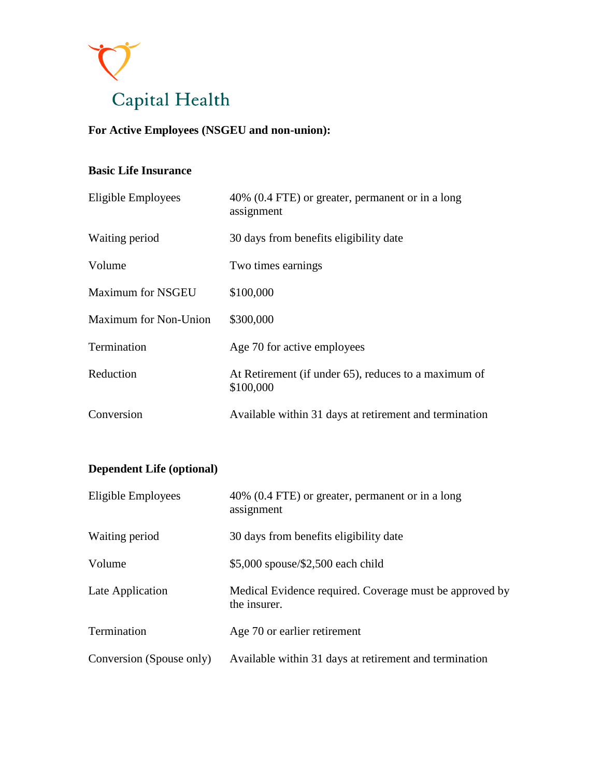

# **For Active Employees (NSGEU and non-union):**

#### **Basic Life Insurance**

| Eligible Employees           | 40% (0.4 FTE) or greater, permanent or in a long<br>assignment    |
|------------------------------|-------------------------------------------------------------------|
| Waiting period               | 30 days from benefits eligibility date                            |
| Volume                       | Two times earnings                                                |
| <b>Maximum for NSGEU</b>     | \$100,000                                                         |
| <b>Maximum for Non-Union</b> | \$300,000                                                         |
| Termination                  | Age 70 for active employees                                       |
| Reduction                    | At Retirement (if under 65), reduces to a maximum of<br>\$100,000 |
| Conversion                   | Available within 31 days at retirement and termination            |

## **Dependent Life (optional)**

| Eligible Employees       | 40% (0.4 FTE) or greater, permanent or in a long<br>assignment          |
|--------------------------|-------------------------------------------------------------------------|
| Waiting period           | 30 days from benefits eligibility date                                  |
| Volume                   | \$5,000 spouse/\$2,500 each child                                       |
| Late Application         | Medical Evidence required. Coverage must be approved by<br>the insurer. |
| Termination              | Age 70 or earlier retirement                                            |
| Conversion (Spouse only) | Available within 31 days at retirement and termination                  |